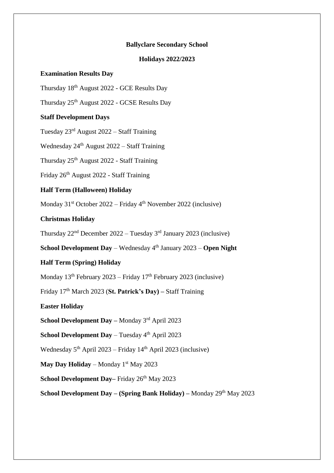#### **Ballyclare Secondary School**

### **Holidays 2022/2023**

#### **Examination Results Day**

Thursday 18th August 2022 - GCE Results Day

Thursday 25th August 2022 - GCSE Results Day

### **Staff Development Days**

Tuesday 23rd August 2022 – Staff Training

Wednesday  $24<sup>th</sup>$  August  $2022 -$  Staff Training

Thursday 25<sup>th</sup> August 2022 - Staff Training

Friday 26th August 2022 - Staff Training

# **Half Term (Halloween) Holiday**

Monday 31st October 2022 – Friday 4th November 2022 (inclusive)

# **Christmas Holiday**

Thursday  $22<sup>nd</sup>$  December  $2022 -$  Tuesday  $3<sup>rd</sup>$  January 2023 (inclusive)

**School Development Day** – Wednesday 4<sup>th</sup> January 2023 – **Open Night** 

# **Half Term (Spring) Holiday**

Monday  $13^{th}$  February 2023 – Friday  $17^{th}$  February 2023 (inclusive)

Friday 17th March 2023 (**St. Patrick's Day) –** Staff Training

**Easter Holiday**

**School Development Day –** Monday 3rd April 2023

**School Development Day** – Tuesday 4<sup>th</sup> April 2023

Wednesday  $5<sup>th</sup>$  April 2023 – Friday 14<sup>th</sup> April 2023 (inclusive)

**May Day Holiday** – Monday 1<sup>st</sup> May 2023

**School Development Day–** Friday 26<sup>th</sup> May 2023

**School Development Day – (Spring Bank Holiday) –** Monday 29th May 2023